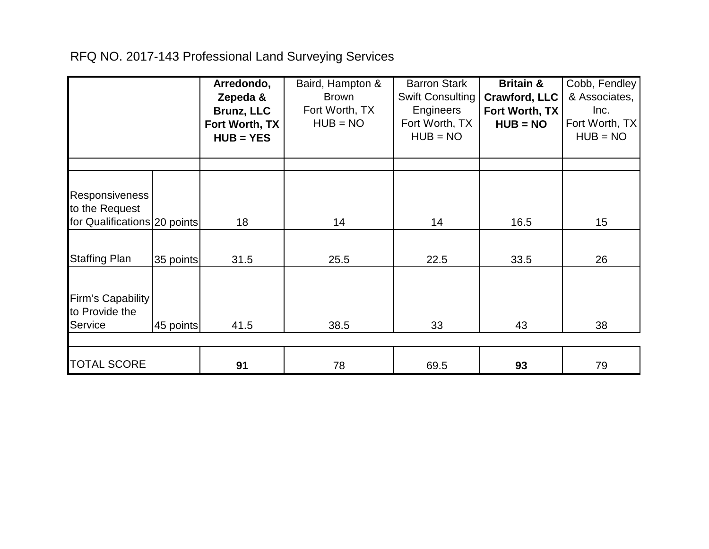|                                                                  |           | Arredondo,     | Baird, Hampton & | <b>Barron Stark</b>     | <b>Britain &amp;</b> | Cobb, Fendley  |
|------------------------------------------------------------------|-----------|----------------|------------------|-------------------------|----------------------|----------------|
|                                                                  |           | Zepeda &       | <b>Brown</b>     | <b>Swift Consulting</b> | <b>Crawford, LLC</b> | & Associates,  |
|                                                                  |           | Brunz, LLC     | Fort Worth, TX   | Engineers               | Fort Worth, TX       | Inc.           |
|                                                                  |           | Fort Worth, TX | $HUB = NO$       | Fort Worth, TX          | $HUB = NO$           | Fort Worth, TX |
|                                                                  |           | $HUB = YES$    |                  | $HUB = NO$              |                      | $HUB = NO$     |
|                                                                  |           |                |                  |                         |                      |                |
|                                                                  |           |                |                  |                         |                      |                |
| Responsiveness<br>to the Request<br>for Qualifications 20 points |           | 18             | 14               | 14                      | 16.5                 | 15             |
|                                                                  |           |                |                  |                         |                      |                |
| <b>Staffing Plan</b>                                             | 35 points | 31.5           | 25.5             | 22.5                    | 33.5                 | 26             |
| Firm's Capability<br>to Provide the<br><b>Service</b>            | 45 points | 41.5           | 38.5             | 33                      | 43                   | 38             |
|                                                                  |           |                |                  |                         |                      |                |
|                                                                  |           |                |                  |                         |                      |                |
| <b>TOTAL SCORE</b>                                               |           | 91             | 78               | 69.5                    | 93                   | 79             |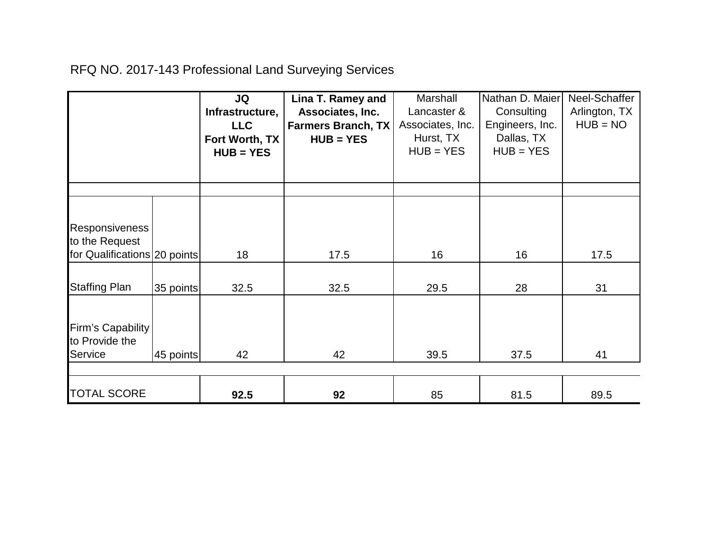|                              |           | <b>JQ</b>       | Lina T. Ramey and         | Marshall         | Nathan D. Maier | Neel-Schaffer |
|------------------------------|-----------|-----------------|---------------------------|------------------|-----------------|---------------|
|                              |           | Infrastructure, | Associates, Inc.          | Lancaster &      | Consulting      | Arlington, TX |
|                              |           | <b>LLC</b>      | <b>Farmers Branch, TX</b> | Associates, Inc. | Engineers, Inc. | $HUB = NO$    |
|                              |           | Fort Worth, TX  | $HUB = YES$               | Hurst, TX        | Dallas, TX      |               |
|                              |           | $HUB = YES$     |                           | $HUB = YES$      | $HUB = YES$     |               |
|                              |           |                 |                           |                  |                 |               |
|                              |           |                 |                           |                  |                 |               |
|                              |           |                 |                           |                  |                 |               |
| <b>Responsiveness</b>        |           |                 |                           |                  |                 |               |
| to the Request               |           |                 |                           |                  |                 |               |
| for Qualifications 20 points |           | 18              | 17.5                      | 16               | 16              | 17.5          |
|                              |           |                 |                           |                  |                 |               |
| <b>Staffing Plan</b>         | 35 points | 32.5            | 32.5                      | 29.5             | 28              | 31            |
|                              |           |                 |                           |                  |                 |               |
| Firm's Capability            |           |                 |                           |                  |                 |               |
| to Provide the               |           |                 |                           |                  |                 |               |
| Service                      | 45 points | 42              | 42                        | 39.5             | 37.5            | 41            |
|                              |           |                 |                           |                  |                 |               |
| <b>TOTAL SCORE</b>           |           | 92.5            | 92                        | 85               | 81.5            | 89.5          |
|                              |           |                 |                           |                  |                 |               |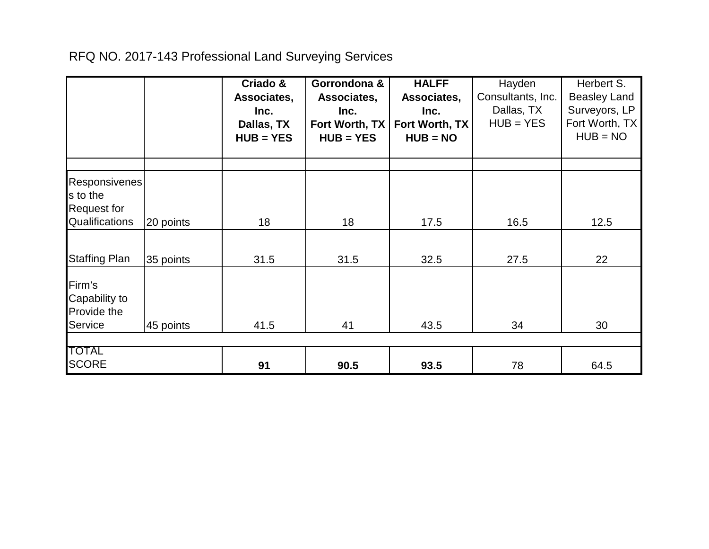|                       |           | Criado &    | Gorrondona &   | <b>HALFF</b>   | Hayden            | Herbert S.          |
|-----------------------|-----------|-------------|----------------|----------------|-------------------|---------------------|
|                       |           | Associates, | Associates,    | Associates,    | Consultants, Inc. | <b>Beasley Land</b> |
|                       |           | Inc.        | Inc.           | Inc.           | Dallas, TX        | Surveyors, LP       |
|                       |           | Dallas, TX  | Fort Worth, TX | Fort Worth, TX | $HUB = YES$       | Fort Worth, TX      |
|                       |           | $HUB = YES$ | $HUB = YES$    | $HUB = NO$     |                   | $HUB = NO$          |
|                       |           |             |                |                |                   |                     |
|                       |           |             |                |                |                   |                     |
| Responsivenes         |           |             |                |                |                   |                     |
| s to the              |           |             |                |                |                   |                     |
| <b>Request for</b>    |           |             |                |                |                   |                     |
| <b>Qualifications</b> | 20 points | 18          | 18             | 17.5           | 16.5              | 12.5                |
|                       |           |             |                |                |                   |                     |
| <b>Staffing Plan</b>  | 35 points | 31.5        | 31.5           | 32.5           | 27.5              | 22                  |
|                       |           |             |                |                |                   |                     |
| Firm's                |           |             |                |                |                   |                     |
| Capability to         |           |             |                |                |                   |                     |
| Provide the           |           |             |                |                |                   |                     |
| Service               | 45 points | 41.5        | 41             | 43.5           | 34                | 30                  |
|                       |           |             |                |                |                   |                     |
| <b>TOTAL</b>          |           |             |                |                |                   |                     |
| <b>SCORE</b>          |           | 91          | 90.5           | 93.5           | 78                | 64.5                |